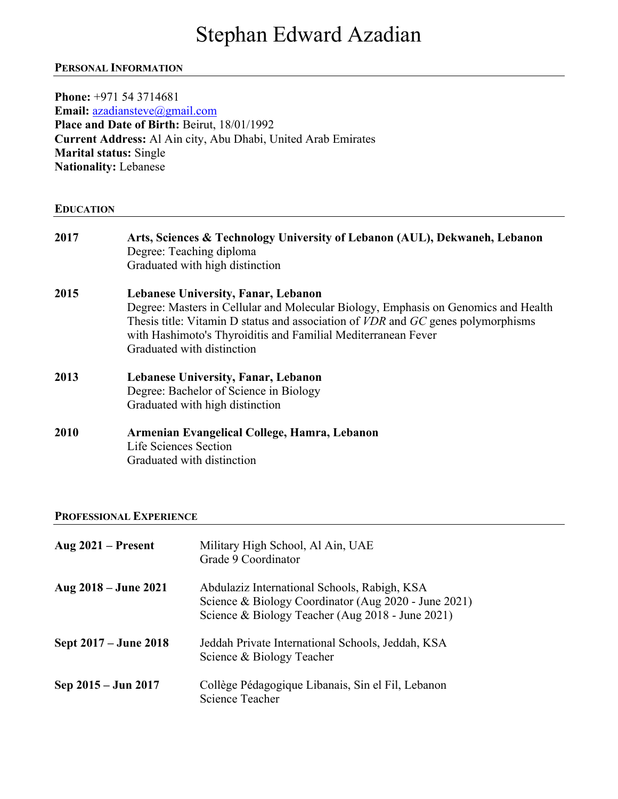# Stephan Edward Azadian

## **PERSONAL INFORMATION**

**Phone:** +971 54 3714681 **Email:** azadiansteve@gmail.com **Place and Date of Birth:** Beirut, 18/01/1992 **Current Address:** Al Ain city, Abu Dhabi, United Arab Emirates **Marital status:** Single **Nationality:** Lebanese **EDUCATION 2017 Arts, Sciences & Technology University of Lebanon (AUL), Dekwaneh, Lebanon** Degree: Teaching diploma Graduated with high distinction **2015 Lebanese University, Fanar, Lebanon** Degree: Masters in Cellular and Molecular Biology, Emphasis on Genomics and Health Thesis title: Vitamin D status and association of *VDR* and *GC* genes polymorphisms with Hashimoto's Thyroiditis and Familial Mediterranean Fever Graduated with distinction **2013 Lebanese University, Fanar, Lebanon** Degree: Bachelor of Science in Biology Graduated with high distinction **2010 Armenian Evangelical College, Hamra, Lebanon** Life Sciences Section Graduated with distinction

#### **PROFESSIONAL EXPERIENCE**

| Aug $2021$ – Present  | Military High School, Al Ain, UAE<br>Grade 9 Coordinator                                                                                                 |
|-----------------------|----------------------------------------------------------------------------------------------------------------------------------------------------------|
| Aug 2018 – June 2021  | Abdulaziz International Schools, Rabigh, KSA<br>Science & Biology Coordinator (Aug 2020 - June 2021)<br>Science & Biology Teacher (Aug 2018 - June 2021) |
| Sept 2017 – June 2018 | Jeddah Private International Schools, Jeddah, KSA<br>Science & Biology Teacher                                                                           |
| Sep 2015 – Jun 2017   | Collège Pédagogique Libanais, Sin el Fil, Lebanon<br>Science Teacher                                                                                     |